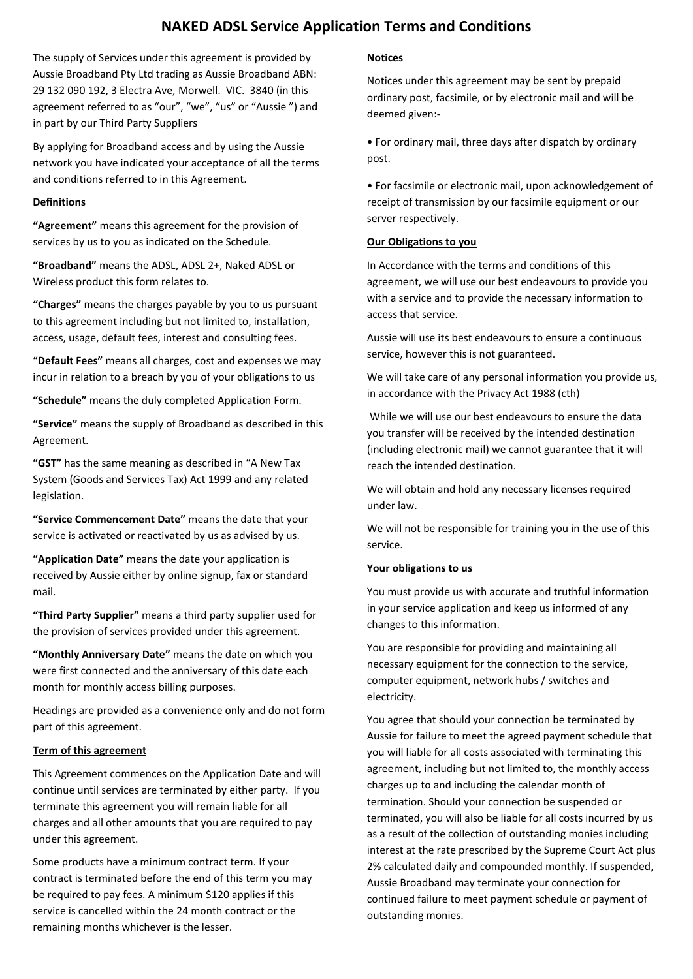# **NAKED ADSL Service Application Terms and Conditions**

The supply of Services under this agreement is provided by Aussie Broadband Pty Ltd trading as Aussie Broadband ABN: 29 132 090 192, 3 Electra Ave, Morwell. VIC. 3840 (in this agreement referred to as "our", "we", "us" or "Aussie ") and in part by our Third Party Suppliers

By applying for Broadband access and by using the Aussie network you have indicated your acceptance of all the terms and conditions referred to in this Agreement.

## **Definitions**

**"Agreement"** means this agreement for the provision of services by us to you as indicated on the Schedule.

**"Broadband"** means the ADSL, ADSL 2+, Naked ADSL or Wireless product this form relates to.

**"Charges"** means the charges payable by you to us pursuant to this agreement including but not limited to, installation, access, usage, default fees, interest and consulting fees.

"**Default Fees"** means all charges, cost and expenses we may incur in relation to a breach by you of your obligations to us

**"Schedule"** means the duly completed Application Form.

**"Service"** means the supply of Broadband as described in this Agreement.

**"GST"** has the same meaning as described in "A New Tax System (Goods and Services Tax) Act 1999 and any related legislation.

**"Service Commencement Date"** means the date that your service is activated or reactivated by us as advised by us.

**"Application Date"** means the date your application is received by Aussie either by online signup, fax or standard mail.

**"Third Party Supplier"** means a third party supplier used for the provision of services provided under this agreement.

**"Monthly Anniversary Date"** means the date on which you were first connected and the anniversary of this date each month for monthly access billing purposes.

Headings are provided as a convenience only and do not form part of this agreement.

#### **Term of this agreement**

This Agreement commences on the Application Date and will continue until services are terminated by either party. If you terminate this agreement you will remain liable for all charges and all other amounts that you are required to pay under this agreement.

Some products have a minimum contract term. If your contract is terminated before the end of this term you may be required to pay fees. A minimum \$120 applies if this service is cancelled within the 24 month contract or the remaining months whichever is the lesser.

# **Notices**

Notices under this agreement may be sent by prepaid ordinary post, facsimile, or by electronic mail and will be deemed given:-

• For ordinary mail, three days after dispatch by ordinary post.

• For facsimile or electronic mail, upon acknowledgement of receipt of transmission by our facsimile equipment or our server respectively.

#### **Our Obligations to you**

In Accordance with the terms and conditions of this agreement, we will use our best endeavours to provide you with a service and to provide the necessary information to access that service.

Aussie will use its best endeavours to ensure a continuous service, however this is not guaranteed.

We will take care of any personal information you provide us, in accordance with the Privacy Act 1988 (cth)

While we will use our best endeavours to ensure the data you transfer will be received by the intended destination (including electronic mail) we cannot guarantee that it will reach the intended destination.

We will obtain and hold any necessary licenses required under law.

We will not be responsible for training you in the use of this service.

#### **Your obligations to us**

You must provide us with accurate and truthful information in your service application and keep us informed of any changes to this information.

You are responsible for providing and maintaining all necessary equipment for the connection to the service, computer equipment, network hubs / switches and electricity.

You agree that should your connection be terminated by Aussie for failure to meet the agreed payment schedule that you will liable for all costs associated with terminating this agreement, including but not limited to, the monthly access charges up to and including the calendar month of termination. Should your connection be suspended or terminated, you will also be liable for all costs incurred by us as a result of the collection of outstanding monies including interest at the rate prescribed by the Supreme Court Act plus 2% calculated daily and compounded monthly. If suspended, Aussie Broadband may terminate your connection for continued failure to meet payment schedule or payment of outstanding monies.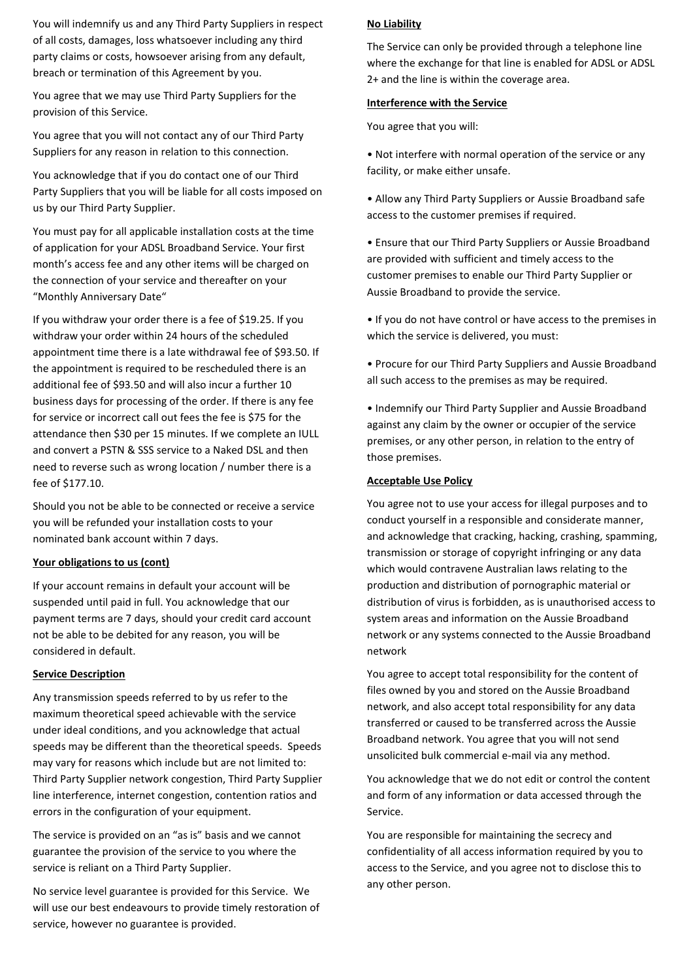You will indemnify us and any Third Party Suppliers in respect of all costs, damages, loss whatsoever including any third party claims or costs, howsoever arising from any default, breach or termination of this Agreement by you.

You agree that we may use Third Party Suppliers for the provision of this Service.

You agree that you will not contact any of our Third Party Suppliers for any reason in relation to this connection.

You acknowledge that if you do contact one of our Third Party Suppliers that you will be liable for all costs imposed on us by our Third Party Supplier.

You must pay for all applicable installation costs at the time of application for your ADSL Broadband Service. Your first month's access fee and any other items will be charged on the connection of your service and thereafter on your "Monthly Anniversary Date"

If you withdraw your order there is a fee of \$19.25. If you withdraw your order within 24 hours of the scheduled appointment time there is a late withdrawal fee of \$93.50. If the appointment is required to be rescheduled there is an additional fee of \$93.50 and will also incur a further 10 business days for processing of the order. If there is any fee for service or incorrect call out fees the fee is \$75 for the attendance then \$30 per 15 minutes. If we complete an IULL and convert a PSTN & SSS service to a Naked DSL and then need to reverse such as wrong location / number there is a fee of \$177.10.

Should you not be able to be connected or receive a service you will be refunded your installation costs to your nominated bank account within 7 days.

#### **Your obligations to us (cont)**

If your account remains in default your account will be suspended until paid in full. You acknowledge that our payment terms are 7 days, should your credit card account not be able to be debited for any reason, you will be considered in default.

#### **Service Description**

Any transmission speeds referred to by us refer to the maximum theoretical speed achievable with the service under ideal conditions, and you acknowledge that actual speeds may be different than the theoretical speeds. Speeds may vary for reasons which include but are not limited to: Third Party Supplier network congestion, Third Party Supplier line interference, internet congestion, contention ratios and errors in the configuration of your equipment.

The service is provided on an "as is" basis and we cannot guarantee the provision of the service to you where the service is reliant on a Third Party Supplier.

No service level guarantee is provided for this Service. We will use our best endeavours to provide timely restoration of service, however no guarantee is provided.

#### **No Liability**

The Service can only be provided through a telephone line where the exchange for that line is enabled for ADSL or ADSL 2+ and the line is within the coverage area.

#### **Interference with the Service**

You agree that you will:

- Not interfere with normal operation of the service or any facility, or make either unsafe.
- Allow any Third Party Suppliers or Aussie Broadband safe access to the customer premises if required.

• Ensure that our Third Party Suppliers or Aussie Broadband are provided with sufficient and timely access to the customer premises to enable our Third Party Supplier or Aussie Broadband to provide the service.

• If you do not have control or have access to the premises in which the service is delivered, you must:

• Procure for our Third Party Suppliers and Aussie Broadband all such access to the premises as may be required.

• Indemnify our Third Party Supplier and Aussie Broadband against any claim by the owner or occupier of the service premises, or any other person, in relation to the entry of those premises.

#### **Acceptable Use Policy**

You agree not to use your access for illegal purposes and to conduct yourself in a responsible and considerate manner, and acknowledge that cracking, hacking, crashing, spamming, transmission or storage of copyright infringing or any data which would contravene Australian laws relating to the production and distribution of pornographic material or distribution of virus is forbidden, as is unauthorised access to system areas and information on the Aussie Broadband network or any systems connected to the Aussie Broadband network

You agree to accept total responsibility for the content of files owned by you and stored on the Aussie Broadband network, and also accept total responsibility for any data transferred or caused to be transferred across the Aussie Broadband network. You agree that you will not send unsolicited bulk commercial e-mail via any method.

You acknowledge that we do not edit or control the content and form of any information or data accessed through the Service.

You are responsible for maintaining the secrecy and confidentiality of all access information required by you to access to the Service, and you agree not to disclose this to any other person.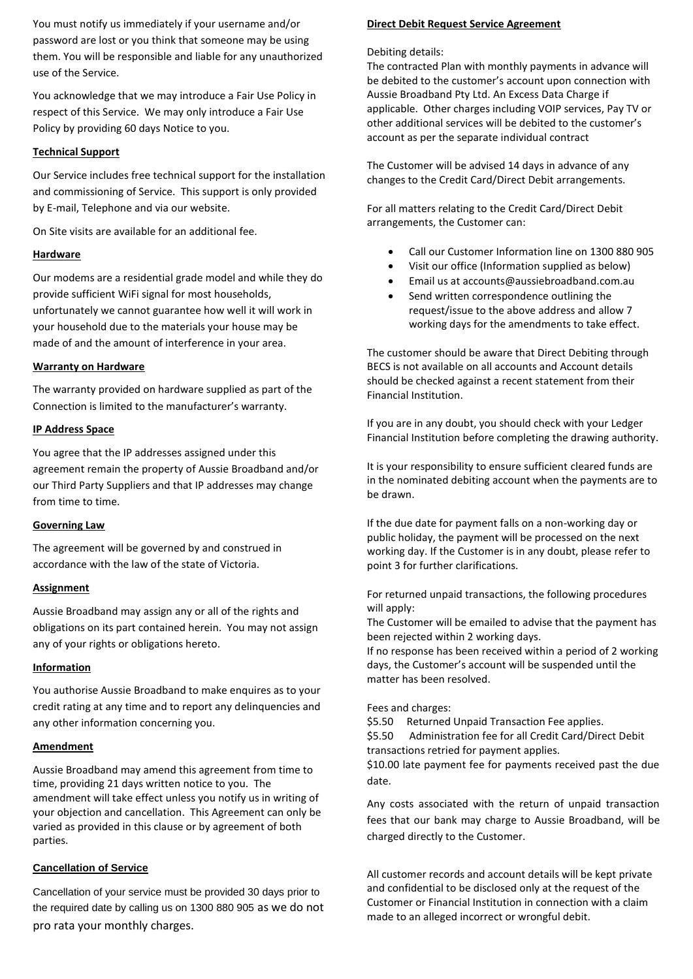You must notify us immediately if your username and/or password are lost or you think that someone may be using them. You will be responsible and liable for any unauthorized use of the Service.

You acknowledge that we may introduce a Fair Use Policy in respect of this Service. We may only introduce a Fair Use Policy by providing 60 days Notice to you.

#### **Technical Support**

Our Service includes free technical support for the installation and commissioning of Service. This support is only provided by E-mail, Telephone and via our website.

On Site visits are available for an additional fee.

## **Hardware**

Our modems are a residential grade model and while they do provide sufficient WiFi signal for most households, unfortunately we cannot guarantee how well it will work in your household due to the materials your house may be made of and the amount of interference in your area.

## **Warranty on Hardware**

The warranty provided on hardware supplied as part of the Connection is limited to the manufacturer's warranty.

## **IP Address Space**

You agree that the IP addresses assigned under this agreement remain the property of Aussie Broadband and/or our Third Party Suppliers and that IP addresses may change from time to time.

# **Governing Law**

The agreement will be governed by and construed in accordance with the law of the state of Victoria.

#### **Assignment**

Aussie Broadband may assign any or all of the rights and obligations on its part contained herein. You may not assign any of your rights or obligations hereto.

# **Information**

You authorise Aussie Broadband to make enquires as to your credit rating at any time and to report any delinquencies and any other information concerning you.

#### **Amendment**

Aussie Broadband may amend this agreement from time to time, providing 21 days written notice to you. The amendment will take effect unless you notify us in writing of your objection and cancellation. This Agreement can only be varied as provided in this clause or by agreement of both parties.

# **Cancellation of Service**

Cancellation of your service must be provided 30 days prior to the required date by calling us on 1300 880 905 as we do not pro rata your monthly charges.

#### **Direct Debit Request Service Agreement**

#### Debiting details:

The contracted Plan with monthly payments in advance will be debited to the customer's account upon connection with Aussie Broadband Pty Ltd. An Excess Data Charge if applicable. Other charges including VOIP services, Pay TV or other additional services will be debited to the customer's account as per the separate individual contract

The Customer will be advised 14 days in advance of any changes to the Credit Card/Direct Debit arrangements.

For all matters relating to the Credit Card/Direct Debit arrangements, the Customer can:

- Call our Customer Information line on 1300 880 905
- Visit our office (Information supplied as below)
- Email us at accounts@aussiebroadband.com.au
- Send written correspondence outlining the request/issue to the above address and allow 7 working days for the amendments to take effect.

The customer should be aware that Direct Debiting through BECS is not available on all accounts and Account details should be checked against a recent statement from their Financial Institution.

If you are in any doubt, you should check with your Ledger Financial Institution before completing the drawing authority.

It is your responsibility to ensure sufficient cleared funds are in the nominated debiting account when the payments are to be drawn.

If the due date for payment falls on a non-working day or public holiday, the payment will be processed on the next working day. If the Customer is in any doubt, please refer to point 3 for further clarifications.

For returned unpaid transactions, the following procedures will apply:

The Customer will be emailed to advise that the payment has been rejected within 2 working days.

If no response has been received within a period of 2 working days, the Customer's account will be suspended until the matter has been resolved.

# Fees and charges:

\$5.50 Returned Unpaid Transaction Fee applies. \$5.50 Administration fee for all Credit Card/Direct Debit transactions retried for payment applies. \$10.00 late payment fee for payments received past the due date.

Any costs associated with the return of unpaid transaction fees that our bank may charge to Aussie Broadband, will be charged directly to the Customer.

All customer records and account details will be kept private and confidential to be disclosed only at the request of the Customer or Financial Institution in connection with a claim made to an alleged incorrect or wrongful debit.